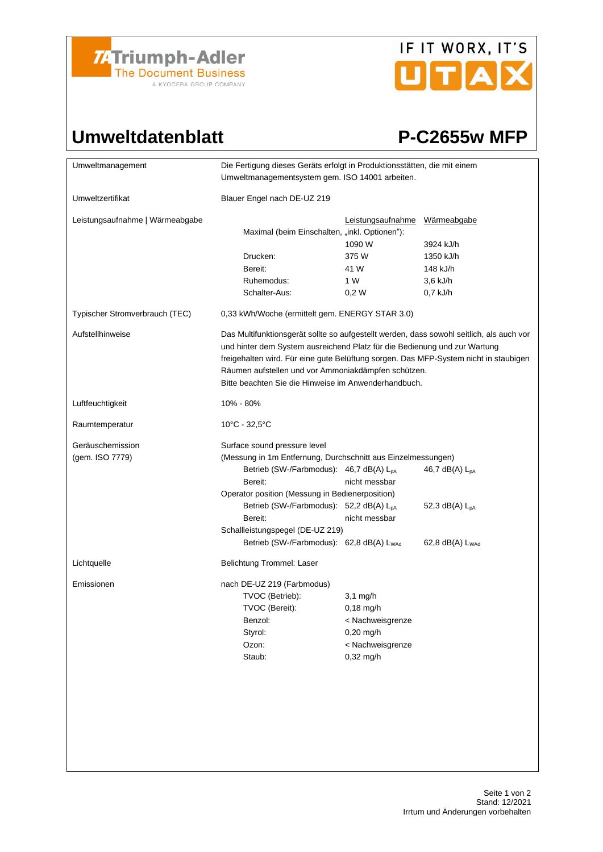

# IF IT WORX, IT'S UTAX

### Umweltdatenblatt P-C2655w MFP

| Umweltmanagement                | Die Fertigung dieses Geräts erfolgt in Produktionsstätten, die mit einem<br>Umweltmanagementsystem gem. ISO 14001 arbeiten.                                                                                                                                                                                                                                                  |                   |                             |  |
|---------------------------------|------------------------------------------------------------------------------------------------------------------------------------------------------------------------------------------------------------------------------------------------------------------------------------------------------------------------------------------------------------------------------|-------------------|-----------------------------|--|
| Umweltzertifikat                | Blauer Engel nach DE-UZ 219                                                                                                                                                                                                                                                                                                                                                  |                   |                             |  |
| Leistungsaufnahme   Wärmeabgabe | Maximal (beim Einschalten, "inkl. Optionen"):                                                                                                                                                                                                                                                                                                                                | Leistungsaufnahme | Wärmeabgabe                 |  |
|                                 |                                                                                                                                                                                                                                                                                                                                                                              | 1090 W            | 3924 kJ/h                   |  |
|                                 | Drucken:                                                                                                                                                                                                                                                                                                                                                                     | 375 W             | 1350 kJ/h                   |  |
|                                 | Bereit:                                                                                                                                                                                                                                                                                                                                                                      | 41 W              | 148 kJ/h                    |  |
|                                 | Ruhemodus:                                                                                                                                                                                                                                                                                                                                                                   | 1 W               | 3,6 kJ/h                    |  |
|                                 | Schalter-Aus:                                                                                                                                                                                                                                                                                                                                                                | 0,2 W             | 0,7 kJ/h                    |  |
| Typischer Stromverbrauch (TEC)  | 0,33 kWh/Woche (ermittelt gem. ENERGY STAR 3.0)                                                                                                                                                                                                                                                                                                                              |                   |                             |  |
| Aufstellhinweise                | Das Multifunktionsgerät sollte so aufgestellt werden, dass sowohl seitlich, als auch vor<br>und hinter dem System ausreichend Platz für die Bedienung und zur Wartung<br>freigehalten wird. Für eine gute Belüftung sorgen. Das MFP-System nicht in staubigen<br>Räumen aufstellen und vor Ammoniakdämpfen schützen.<br>Bitte beachten Sie die Hinweise im Anwenderhandbuch. |                   |                             |  |
| Luftfeuchtigkeit                | 10% - 80%                                                                                                                                                                                                                                                                                                                                                                    |                   |                             |  |
| Raumtemperatur                  | 10°C - 32,5°C                                                                                                                                                                                                                                                                                                                                                                |                   |                             |  |
| Geräuschemission                | Surface sound pressure level                                                                                                                                                                                                                                                                                                                                                 |                   |                             |  |
| (gem. ISO 7779)                 | (Messung in 1m Entfernung, Durchschnitt aus Einzelmessungen)<br>Betrieb (SW-/Farbmodus): 46,7 dB(A) L <sub>pA</sub><br>Bereit:                                                                                                                                                                                                                                               | nicht messbar     | 46,7 dB(A) $L_{DA}$         |  |
|                                 | Operator position (Messung in Bedienerposition)<br>Betrieb (SW-/Farbmodus): 52,2 dB(A) L <sub>pA</sub><br>Bereit:                                                                                                                                                                                                                                                            | nicht messbar     | 52,3 $dB(A)$ $L_{pA}$       |  |
|                                 | Schallleistungspegel (DE-UZ 219)                                                                                                                                                                                                                                                                                                                                             |                   |                             |  |
|                                 | Betrieb (SW-/Farbmodus): 62,8 dB(A) L <sub>WAd</sub>                                                                                                                                                                                                                                                                                                                         |                   | 62,8 dB(A) L <sub>WAd</sub> |  |
| Lichtquelle                     | Belichtung Trommel: Laser                                                                                                                                                                                                                                                                                                                                                    |                   |                             |  |
| Emissionen                      | nach DE-UZ 219 (Farbmodus)                                                                                                                                                                                                                                                                                                                                                   |                   |                             |  |
|                                 | TVOC (Betrieb):                                                                                                                                                                                                                                                                                                                                                              | $3,1$ mg/h        |                             |  |
|                                 | TVOC (Bereit):                                                                                                                                                                                                                                                                                                                                                               | 0,18 mg/h         |                             |  |
|                                 | Benzol:                                                                                                                                                                                                                                                                                                                                                                      | < Nachweisgrenze  |                             |  |
|                                 | Styrol:                                                                                                                                                                                                                                                                                                                                                                      | $0,20$ mg/h       |                             |  |
|                                 | Ozon:                                                                                                                                                                                                                                                                                                                                                                        | < Nachweisgrenze  |                             |  |
|                                 | Staub:                                                                                                                                                                                                                                                                                                                                                                       | $0,32$ mg/h       |                             |  |
|                                 |                                                                                                                                                                                                                                                                                                                                                                              |                   |                             |  |
|                                 |                                                                                                                                                                                                                                                                                                                                                                              |                   |                             |  |